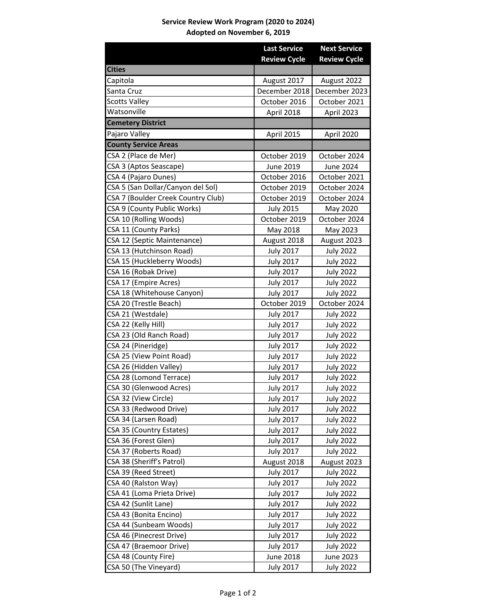## **Service Review Work Program (2020 to 2024) Adopted on November 6, 2019**

|                                    | <b>Last Service</b> | <b>Next Service</b> |
|------------------------------------|---------------------|---------------------|
|                                    | <b>Review Cycle</b> | <b>Review Cycle</b> |
| <b>Cities</b>                      |                     |                     |
| Capitola                           | August 2017         | August 2022         |
| Santa Cruz                         | December 2018       | December 2023       |
| <b>Scotts Valley</b>               | October 2016        | October 2021        |
| Watsonville                        | April 2018          | April 2023          |
| <b>Cemetery District</b>           |                     |                     |
| Pajaro Valley                      | April 2015          | April 2020          |
| <b>County Service Areas</b>        |                     |                     |
| CSA 2 (Place de Mer)               | October 2019        | October 2024        |
| CSA 3 (Aptos Seascape)             | June 2019           | June 2024           |
| CSA 4 (Pajaro Dunes)               | October 2016        | October 2021        |
| CSA 5 (San Dollar/Canyon del Sol)  | October 2019        | October 2024        |
| CSA 7 (Boulder Creek Country Club) | October 2019        | October 2024        |
| CSA 9 (County Public Works)        | <b>July 2015</b>    | May 2020            |
| CSA 10 (Rolling Woods)             | October 2019        | October 2024        |
| CSA 11 (County Parks)              | May 2018            | May 2023            |
| CSA 12 (Septic Maintenance)        | August 2018         | August 2023         |
| CSA 13 (Hutchinson Road)           | <b>July 2017</b>    | <b>July 2022</b>    |
| CSA 15 (Huckleberry Woods)         | <b>July 2017</b>    | <b>July 2022</b>    |
| CSA 16 (Robak Drive)               | <b>July 2017</b>    | <b>July 2022</b>    |
| CSA 17 (Empire Acres)              | <b>July 2017</b>    | <b>July 2022</b>    |
| CSA 18 (Whitehouse Canyon)         | <b>July 2017</b>    | <b>July 2022</b>    |
| CSA 20 (Trestle Beach)             | October 2019        | October 2024        |
| CSA 21 (Westdale)                  | <b>July 2017</b>    | <b>July 2022</b>    |
| CSA 22 (Kelly Hill)                | <b>July 2017</b>    | <b>July 2022</b>    |
| CSA 23 (Old Ranch Road)            | <b>July 2017</b>    | <b>July 2022</b>    |
| CSA 24 (Pineridge)                 | <b>July 2017</b>    | <b>July 2022</b>    |
| CSA 25 (View Point Road)           | <b>July 2017</b>    | <b>July 2022</b>    |
| CSA 26 (Hidden Valley)             | <b>July 2017</b>    | <b>July 2022</b>    |
| CSA 28 (Lomond Terrace)            | <b>July 2017</b>    | <b>July 2022</b>    |
| CSA 30 (Glenwood Acres)            | <b>July 2017</b>    | <b>July 2022</b>    |
| CSA 32 (View Circle)               | <b>July 2017</b>    | <b>July 2022</b>    |
| CSA 33 (Redwood Drive)             | <b>July 2017</b>    | <b>July 2022</b>    |
| CSA 34 (Larsen Road)               | <b>July 2017</b>    | <b>July 2022</b>    |
| CSA 35 (Country Estates)           | <b>July 2017</b>    | <b>July 2022</b>    |
| CSA 36 (Forest Glen)               | <b>July 2017</b>    | <b>July 2022</b>    |
| CSA 37 (Roberts Road)              | <b>July 2017</b>    | <b>July 2022</b>    |
| CSA 38 (Sheriff's Patrol)          | August 2018         | August 2023         |
| CSA 39 (Reed Street)               | <b>July 2017</b>    | <b>July 2022</b>    |
| CSA 40 (Ralston Way)               | <b>July 2017</b>    | July 2022           |
| CSA 41 (Loma Prieta Drive)         | <b>July 2017</b>    | <b>July 2022</b>    |
| CSA 42 (Sunlit Lane)               | <b>July 2017</b>    | <b>July 2022</b>    |
| CSA 43 (Bonita Encino)             | <b>July 2017</b>    | <b>July 2022</b>    |
| CSA 44 (Sunbeam Woods)             | <b>July 2017</b>    | <b>July 2022</b>    |
| CSA 46 (Pinecrest Drive)           | <b>July 2017</b>    | <b>July 2022</b>    |
| CSA 47 (Braemoor Drive)            | <b>July 2017</b>    | <b>July 2022</b>    |
| CSA 48 (County Fire)               | <b>June 2018</b>    | <b>June 2023</b>    |
| CSA 50 (The Vineyard)              | <b>July 2017</b>    | <b>July 2022</b>    |